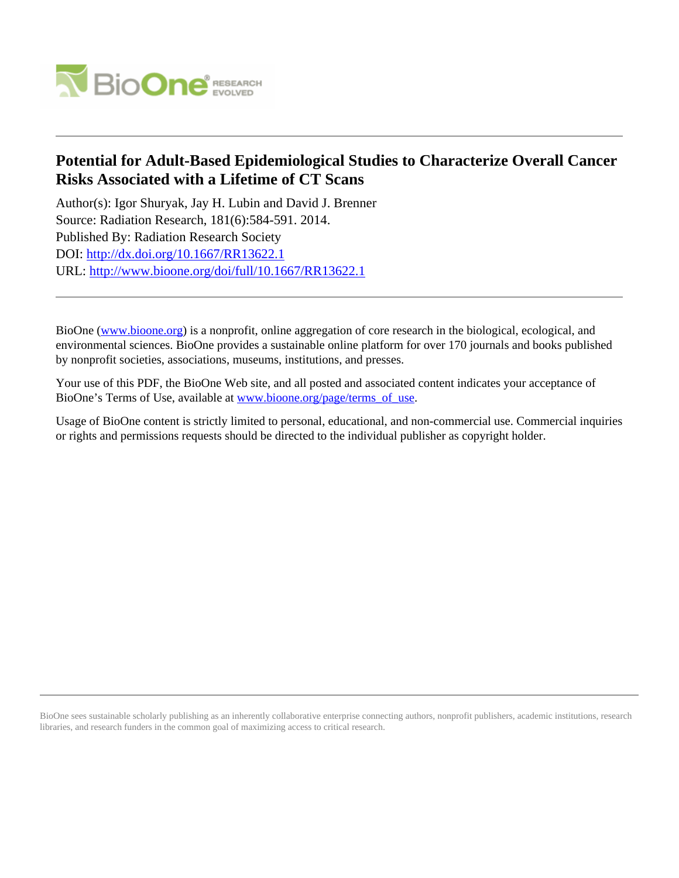

# **Potential for Adult-Based Epidemiological Studies to Characterize Overall Cancer Risks Associated with a Lifetime of CT Scans**

Author(s): Igor Shuryak, Jay H. Lubin and David J. Brenner Source: Radiation Research, 181(6):584-591. 2014. Published By: Radiation Research Society DOI:<http://dx.doi.org/10.1667/RR13622.1> URL: <http://www.bioone.org/doi/full/10.1667/RR13622.1>

BioOne [\(www.bioone.org\)](http://www.bioone.org) is a nonprofit, online aggregation of core research in the biological, ecological, and environmental sciences. BioOne provides a sustainable online platform for over 170 journals and books published by nonprofit societies, associations, museums, institutions, and presses.

Your use of this PDF, the BioOne Web site, and all posted and associated content indicates your acceptance of BioOne's Terms of Use, available at [www.bioone.org/page/terms\\_of\\_use.](http://www.bioone.org/page/terms_of_use)

Usage of BioOne content is strictly limited to personal, educational, and non-commercial use. Commercial inquiries or rights and permissions requests should be directed to the individual publisher as copyright holder.

BioOne sees sustainable scholarly publishing as an inherently collaborative enterprise connecting authors, nonprofit publishers, academic institutions, research libraries, and research funders in the common goal of maximizing access to critical research.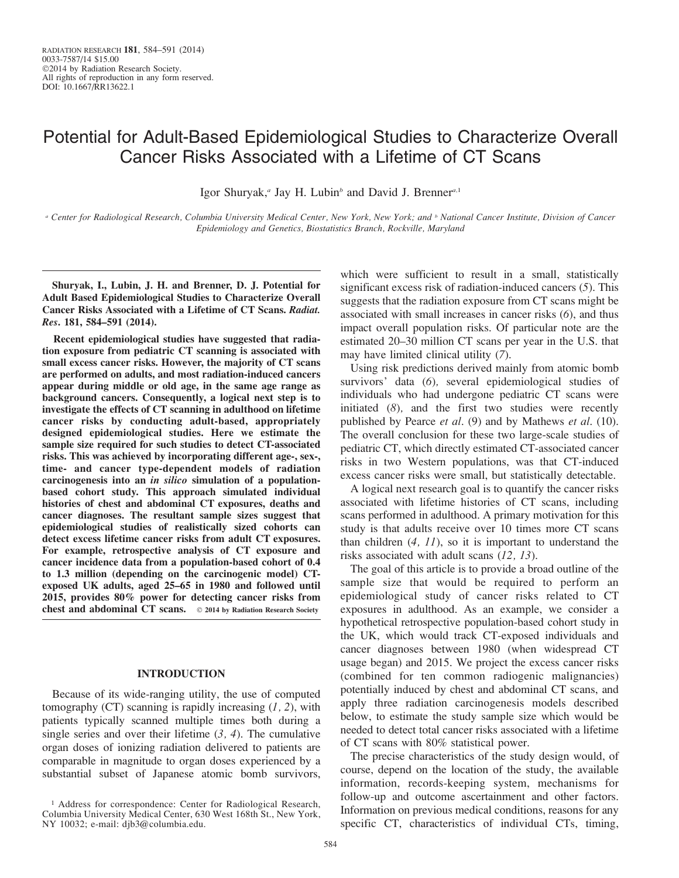# Potential for Adult-Based Epidemiological Studies to Characterize Overall Cancer Risks Associated with a Lifetime of CT Scans

Igor Shuryak,<sup>*a*</sup> Jay H. Lubin<sup>b</sup> and David J. Brenner<sup>*a*,1</sup>

<sup>a</sup> Center for Radiological Research, Columbia University Medical Center, New York, New York; and <sup>b</sup> National Cancer Institute, Division of Cancer Epidemiology and Genetics, Biostatistics Branch, Rockville, Maryland

Shuryak, I., Lubin, J. H. and Brenner, D. J. Potential for Adult Based Epidemiological Studies to Characterize Overall Cancer Risks Associated with a Lifetime of CT Scans. Radiat. Res. 181, 584–591 (2014).

Recent epidemiological studies have suggested that radiation exposure from pediatric CT scanning is associated with small excess cancer risks. However, the majority of CT scans are performed on adults, and most radiation-induced cancers appear during middle or old age, in the same age range as background cancers. Consequently, a logical next step is to investigate the effects of CT scanning in adulthood on lifetime cancer risks by conducting adult-based, appropriately designed epidemiological studies. Here we estimate the sample size required for such studies to detect CT-associated risks. This was achieved by incorporating different age-, sex-, time- and cancer type-dependent models of radiation carcinogenesis into an in silico simulation of a populationbased cohort study. This approach simulated individual histories of chest and abdominal CT exposures, deaths and cancer diagnoses. The resultant sample sizes suggest that epidemiological studies of realistically sized cohorts can detect excess lifetime cancer risks from adult CT exposures. For example, retrospective analysis of CT exposure and cancer incidence data from a population-based cohort of 0.4 to 1.3 million (depending on the carcinogenic model) CTexposed UK adults, aged 25–65 in 1980 and followed until 2015, provides 80% power for detecting cancer risks from chest and abdominal CT scans.  $\circ$  2014 by Radiation Research Society

## INTRODUCTION

Because of its wide-ranging utility, the use of computed tomography (CT) scanning is rapidly increasing  $(1, 2)$ , with patients typically scanned multiple times both during a single series and over their lifetime  $(3, 4)$ . The cumulative organ doses of ionizing radiation delivered to patients are comparable in magnitude to organ doses experienced by a substantial subset of Japanese atomic bomb survivors,

which were sufficient to result in a small, statistically significant excess risk of radiation-induced cancers (5). This suggests that the radiation exposure from CT scans might be associated with small increases in cancer risks (6), and thus impact overall population risks. Of particular note are the estimated 20–30 million CT scans per year in the U.S. that may have limited clinical utility (7).

Using risk predictions derived mainly from atomic bomb survivors' data (6), several epidemiological studies of individuals who had undergone pediatric CT scans were initiated (8), and the first two studies were recently published by Pearce et al. (9) and by Mathews et al. (10). The overall conclusion for these two large-scale studies of pediatric CT, which directly estimated CT-associated cancer risks in two Western populations, was that CT-induced excess cancer risks were small, but statistically detectable.

A logical next research goal is to quantify the cancer risks associated with lifetime histories of CT scans, including scans performed in adulthood. A primary motivation for this study is that adults receive over 10 times more CT scans than children  $(4, 11)$ , so it is important to understand the risks associated with adult scans (12, 13).

The goal of this article is to provide a broad outline of the sample size that would be required to perform an epidemiological study of cancer risks related to CT exposures in adulthood. As an example, we consider a hypothetical retrospective population-based cohort study in the UK, which would track CT-exposed individuals and cancer diagnoses between 1980 (when widespread CT usage began) and 2015. We project the excess cancer risks (combined for ten common radiogenic malignancies) potentially induced by chest and abdominal CT scans, and apply three radiation carcinogenesis models described below, to estimate the study sample size which would be needed to detect total cancer risks associated with a lifetime of CT scans with 80% statistical power.

The precise characteristics of the study design would, of course, depend on the location of the study, the available information, records-keeping system, mechanisms for follow-up and outcome ascertainment and other factors. Information on previous medical conditions, reasons for any specific CT, characteristics of individual CTs, timing,

<sup>&</sup>lt;sup>1</sup> Address for correspondence: Center for Radiological Research, Columbia University Medical Center, 630 West 168th St., New York, NY 10032; e-mail: djb3@columbia.edu.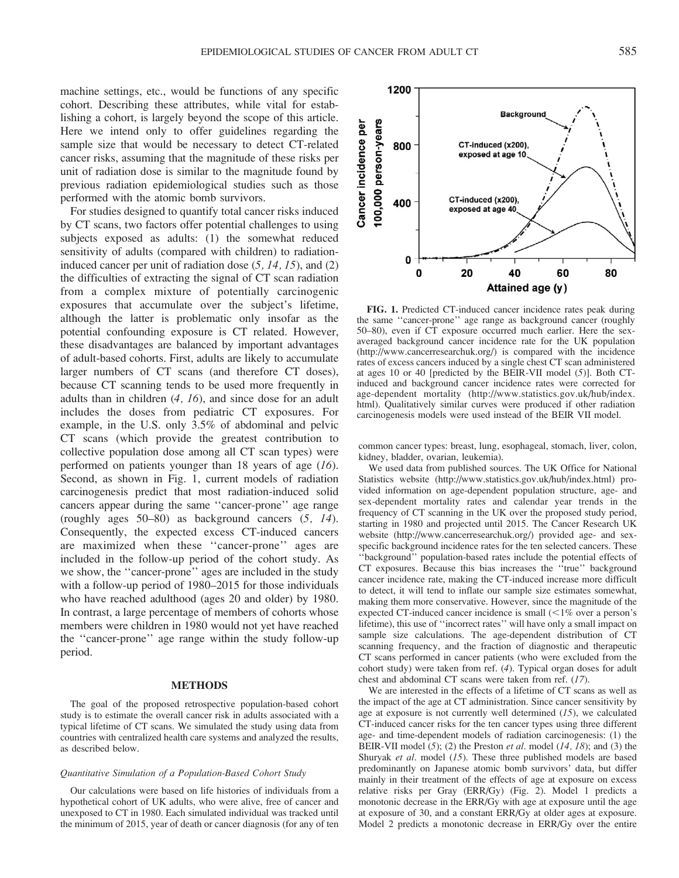machine settings, etc., would be functions of any specific cohort. Describing these attributes, while vital for establishing a cohort, is largely beyond the scope of this article. Here we intend only to offer guidelines regarding the sample size that would be necessary to detect CT-related cancer risks, assuming that the magnitude of these risks per unit of radiation dose is similar to the magnitude found by previous radiation epidemiological studies such as those performed with the atomic bomb survivors.

For studies designed to quantify total cancer risks induced by CT scans, two factors offer potential challenges to using subjects exposed as adults: (1) the somewhat reduced sensitivity of adults (compared with children) to radiationinduced cancer per unit of radiation dose  $(5, 14, 15)$ , and  $(2)$ the difficulties of extracting the signal of CT scan radiation from a complex mixture of potentially carcinogenic exposures that accumulate over the subject's lifetime, although the latter is problematic only insofar as the potential confounding exposure is CT related. However, these disadvantages are balanced by important advantages of adult-based cohorts. First, adults are likely to accumulate larger numbers of CT scans (and therefore CT doses), because CT scanning tends to be used more frequently in adults than in children (4, 16), and since dose for an adult includes the doses from pediatric CT exposures. For example, in the U.S. only 3.5% of abdominal and pelvic CT scans (which provide the greatest contribution to collective population dose among all CT scan types) were performed on patients younger than 18 years of age  $(16)$ . Second, as shown in Fig. 1, current models of radiation carcinogenesis predict that most radiation-induced solid cancers appear during the same ''cancer-prone'' age range (roughly ages 50–80) as background cancers (5, 14). Consequently, the expected excess CT-induced cancers are maximized when these ''cancer-prone'' ages are included in the follow-up period of the cohort study. As we show, the ''cancer-prone'' ages are included in the study with a follow-up period of 1980–2015 for those individuals who have reached adulthood (ages 20 and older) by 1980. In contrast, a large percentage of members of cohorts whose members were children in 1980 would not yet have reached the ''cancer-prone'' age range within the study follow-up period.

### METHODS

The goal of the proposed retrospective population-based cohort study is to estimate the overall cancer risk in adults associated with a typical lifetime of CT scans. We simulated the study using data from countries with centralized health care systems and analyzed the results, as described below.

#### Quantitative Simulation of a Population-Based Cohort Study

Our calculations were based on life histories of individuals from a hypothetical cohort of UK adults, who were alive, free of cancer and unexposed to CT in 1980. Each simulated individual was tracked until the minimum of 2015, year of death or cancer diagnosis (for any of ten

FIG. 1. Predicted CT-induced cancer incidence rates peak during the same ''cancer-prone'' age range as background cancer (roughly 50–80), even if CT exposure occurred much earlier. Here the sexaveraged background cancer incidence rate for the UK population (http://www.cancerresearchuk.org/) is compared with the incidence rates of excess cancers induced by a single chest CT scan administered at ages 10 or 40 [predicted by the BEIR-VII model (5)]. Both CTinduced and background cancer incidence rates were corrected for age-dependent mortality (http://www.statistics.gov.uk/hub/index. html). Qualitatively similar curves were produced if other radiation carcinogenesis models were used instead of the BEIR VII model.

common cancer types: breast, lung, esophageal, stomach, liver, colon, kidney, bladder, ovarian, leukemia).

We used data from published sources. The UK Office for National Statistics website (http://www.statistics.gov.uk/hub/index.html) provided information on age-dependent population structure, age- and sex-dependent mortality rates and calendar year trends in the frequency of CT scanning in the UK over the proposed study period, starting in 1980 and projected until 2015. The Cancer Research UK website (http://www.cancerresearchuk.org/) provided age- and sexspecific background incidence rates for the ten selected cancers. These ''background'' population-based rates include the potential effects of CT exposures. Because this bias increases the ''true'' background cancer incidence rate, making the CT-induced increase more difficult to detect, it will tend to inflate our sample size estimates somewhat, making them more conservative. However, since the magnitude of the expected CT-induced cancer incidence is small  $\left($  < 1% over a person's lifetime), this use of ''incorrect rates'' will have only a small impact on sample size calculations. The age-dependent distribution of CT scanning frequency, and the fraction of diagnostic and therapeutic CT scans performed in cancer patients (who were excluded from the cohort study) were taken from ref. (4). Typical organ doses for adult chest and abdominal CT scans were taken from ref. (17).

We are interested in the effects of a lifetime of CT scans as well as the impact of the age at CT administration. Since cancer sensitivity by age at exposure is not currently well determined  $(15)$ , we calculated CT-induced cancer risks for the ten cancer types using three different age- and time-dependent models of radiation carcinogenesis: (1) the BEIR-VII model  $(5)$ ;  $(2)$  the Preston *et al.* model  $(14, 18)$ ; and  $(3)$  the Shuryak et al. model (15). These three published models are based predominantly on Japanese atomic bomb survivors' data, but differ mainly in their treatment of the effects of age at exposure on excess relative risks per Gray (ERR/Gy) (Fig. 2). Model 1 predicts a monotonic decrease in the ERR/Gy with age at exposure until the age at exposure of 30, and a constant ERR/Gy at older ages at exposure. Model 2 predicts a monotonic decrease in ERR/Gy over the entire

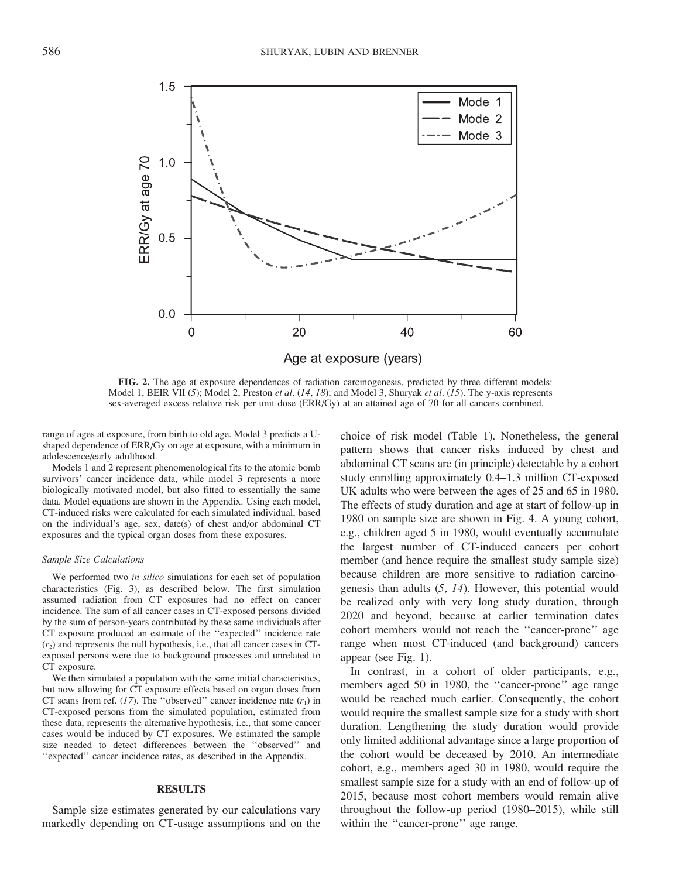

FIG. 2. The age at exposure dependences of radiation carcinogenesis, predicted by three different models: Model 1, BEIR VII (5); Model 2, Preston et al. (14, 18); and Model 3, Shuryak et al. (15). The y-axis represents sex-averaged excess relative risk per unit dose (ERR/Gy) at an attained age of 70 for all cancers combined.

range of ages at exposure, from birth to old age. Model 3 predicts a Ushaped dependence of ERR/Gy on age at exposure, with a minimum in adolescence/early adulthood.

Models 1 and 2 represent phenomenological fits to the atomic bomb survivors' cancer incidence data, while model 3 represents a more biologically motivated model, but also fitted to essentially the same data. Model equations are shown in the Appendix. Using each model, CT-induced risks were calculated for each simulated individual, based on the individual's age, sex, date(s) of chest and/or abdominal CT exposures and the typical organ doses from these exposures.

#### Sample Size Calculations

We performed two in silico simulations for each set of population characteristics (Fig. 3), as described below. The first simulation assumed radiation from CT exposures had no effect on cancer incidence. The sum of all cancer cases in CT-exposed persons divided by the sum of person-years contributed by these same individuals after CT exposure produced an estimate of the ''expected'' incidence rate  $(r<sub>2</sub>)$  and represents the null hypothesis, i.e., that all cancer cases in CTexposed persons were due to background processes and unrelated to CT exposure.

We then simulated a population with the same initial characteristics, but now allowing for CT exposure effects based on organ doses from CT scans from ref. (17). The "observed" cancer incidence rate  $(r_1)$  in CT-exposed persons from the simulated population, estimated from these data, represents the alternative hypothesis, i.e., that some cancer cases would be induced by CT exposures. We estimated the sample size needed to detect differences between the ''observed'' and "expected" cancer incidence rates, as described in the Appendix.

#### RESULTS

Sample size estimates generated by our calculations vary markedly depending on CT-usage assumptions and on the choice of risk model (Table 1). Nonetheless, the general pattern shows that cancer risks induced by chest and abdominal CT scans are (in principle) detectable by a cohort study enrolling approximately 0.4–1.3 million CT-exposed UK adults who were between the ages of 25 and 65 in 1980. The effects of study duration and age at start of follow-up in 1980 on sample size are shown in Fig. 4. A young cohort, e.g., children aged 5 in 1980, would eventually accumulate the largest number of CT-induced cancers per cohort member (and hence require the smallest study sample size) because children are more sensitive to radiation carcinogenesis than adults (5, 14). However, this potential would be realized only with very long study duration, through 2020 and beyond, because at earlier termination dates cohort members would not reach the ''cancer-prone'' age range when most CT-induced (and background) cancers appear (see Fig. 1).

In contrast, in a cohort of older participants, e.g., members aged 50 in 1980, the ''cancer-prone'' age range would be reached much earlier. Consequently, the cohort would require the smallest sample size for a study with short duration. Lengthening the study duration would provide only limited additional advantage since a large proportion of the cohort would be deceased by 2010. An intermediate cohort, e.g., members aged 30 in 1980, would require the smallest sample size for a study with an end of follow-up of 2015, because most cohort members would remain alive throughout the follow-up period (1980–2015), while still within the "cancer-prone" age range.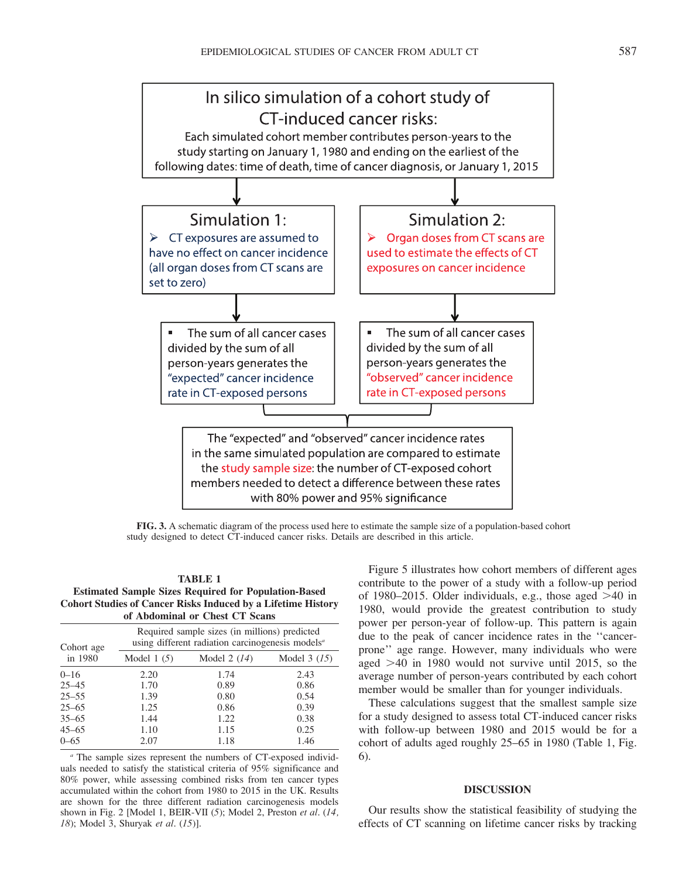

FIG. 3. A schematic diagram of the process used here to estimate the sample size of a population-based cohort study designed to detect CT-induced cancer risks. Details are described in this article.

# TABLE 1 Estimated Sample Sizes Required for Population-Based Cohort Studies of Cancer Risks Induced by a Lifetime History of Abdominal or Chest CT Scans

| Cohort age | Required sample sizes (in millions) predicted<br>using different radiation carcinogenesis models <sup>a</sup> |               |               |  |
|------------|---------------------------------------------------------------------------------------------------------------|---------------|---------------|--|
| in 1980    | Model $1(5)$                                                                                                  | Model $2(14)$ | Model $3(15)$ |  |
| $0 - 16$   | 2.20                                                                                                          | 1.74          | 2.43          |  |
| $25 - 45$  | 1.70                                                                                                          | 0.89          | 0.86          |  |
| $25 - 55$  | 1.39                                                                                                          | 0.80          | 0.54          |  |
| $25 - 65$  | 1.25                                                                                                          | 0.86          | 0.39          |  |
| $35 - 65$  | 1.44                                                                                                          | 1.22          | 0.38          |  |
| $45 - 65$  | 1.10                                                                                                          | 1.15          | 0.25          |  |
| $0 - 65$   | 2.07                                                                                                          | 1.18          | 1.46          |  |

<sup>a</sup> The sample sizes represent the numbers of CT-exposed individuals needed to satisfy the statistical criteria of 95% significance and 80% power, while assessing combined risks from ten cancer types accumulated within the cohort from 1980 to 2015 in the UK. Results are shown for the three different radiation carcinogenesis models shown in Fig. 2 [Model 1, BEIR-VII (5); Model 2, Preston et al. (14, 18); Model 3, Shuryak et al. (15)].

Figure 5 illustrates how cohort members of different ages contribute to the power of a study with a follow-up period of 1980–2015. Older individuals, e.g., those aged  $>40$  in 1980, would provide the greatest contribution to study power per person-year of follow-up. This pattern is again due to the peak of cancer incidence rates in the ''cancerprone'' age range. However, many individuals who were aged  $>40$  in 1980 would not survive until 2015, so the average number of person-years contributed by each cohort member would be smaller than for younger individuals.

These calculations suggest that the smallest sample size for a study designed to assess total CT-induced cancer risks with follow-up between 1980 and 2015 would be for a cohort of adults aged roughly 25–65 in 1980 (Table 1, Fig. 6).

## DISCUSSION

Our results show the statistical feasibility of studying the effects of CT scanning on lifetime cancer risks by tracking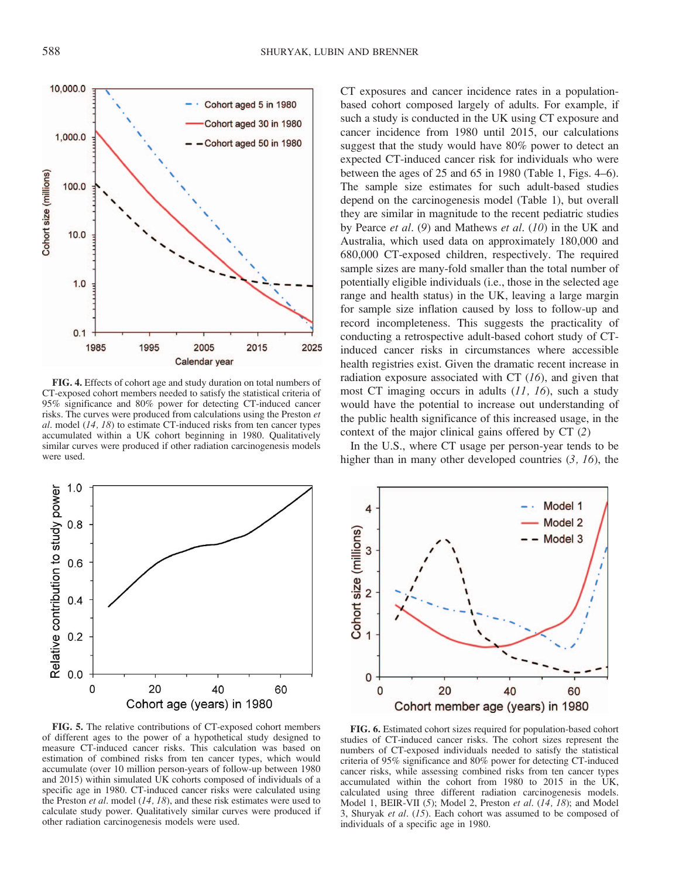

FIG. 4. Effects of cohort age and study duration on total numbers of CT-exposed cohort members needed to satisfy the statistical criteria of 95% significance and 80% power for detecting CT-induced cancer risks. The curves were produced from calculations using the Preston et al. model (14, 18) to estimate CT-induced risks from ten cancer types accumulated within a UK cohort beginning in 1980. Qualitatively similar curves were produced if other radiation carcinogenesis models were used.



FIG. 5. The relative contributions of CT-exposed cohort members of different ages to the power of a hypothetical study designed to measure CT-induced cancer risks. This calculation was based on estimation of combined risks from ten cancer types, which would accumulate (over 10 million person-years of follow-up between 1980 and 2015) within simulated UK cohorts composed of individuals of a specific age in 1980. CT-induced cancer risks were calculated using the Preston et al. model (14, 18), and these risk estimates were used to calculate study power. Qualitatively similar curves were produced if other radiation carcinogenesis models were used.

CT exposures and cancer incidence rates in a populationbased cohort composed largely of adults. For example, if such a study is conducted in the UK using CT exposure and cancer incidence from 1980 until 2015, our calculations suggest that the study would have 80% power to detect an expected CT-induced cancer risk for individuals who were between the ages of 25 and 65 in 1980 (Table 1, Figs. 4–6). The sample size estimates for such adult-based studies depend on the carcinogenesis model (Table 1), but overall they are similar in magnitude to the recent pediatric studies by Pearce et al. (9) and Mathews et al. (10) in the UK and Australia, which used data on approximately 180,000 and 680,000 CT-exposed children, respectively. The required sample sizes are many-fold smaller than the total number of potentially eligible individuals (i.e., those in the selected age range and health status) in the UK, leaving a large margin for sample size inflation caused by loss to follow-up and record incompleteness. This suggests the practicality of conducting a retrospective adult-based cohort study of CTinduced cancer risks in circumstances where accessible health registries exist. Given the dramatic recent increase in radiation exposure associated with CT  $(16)$ , and given that most CT imaging occurs in adults  $(11, 16)$ , such a study would have the potential to increase out understanding of the public health significance of this increased usage, in the context of the major clinical gains offered by CT (2)

In the U.S., where CT usage per person-year tends to be higher than in many other developed countries  $(3, 16)$ , the



FIG. 6. Estimated cohort sizes required for population-based cohort studies of CT-induced cancer risks. The cohort sizes represent the numbers of CT-exposed individuals needed to satisfy the statistical criteria of 95% significance and 80% power for detecting CT-induced cancer risks, while assessing combined risks from ten cancer types accumulated within the cohort from 1980 to 2015 in the UK, calculated using three different radiation carcinogenesis models. Model 1, BEIR-VII (5); Model 2, Preston et al. (14, 18); and Model 3, Shuryak et al. (15). Each cohort was assumed to be composed of individuals of a specific age in 1980.

10,000.0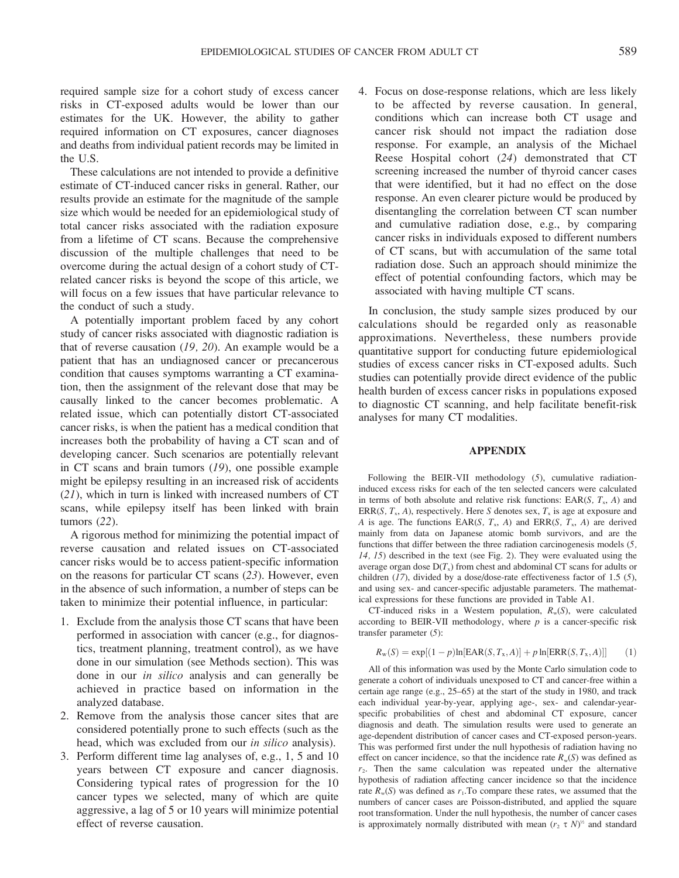required sample size for a cohort study of excess cancer risks in CT-exposed adults would be lower than our estimates for the UK. However, the ability to gather required information on CT exposures, cancer diagnoses and deaths from individual patient records may be limited in the U.S.

These calculations are not intended to provide a definitive estimate of CT-induced cancer risks in general. Rather, our results provide an estimate for the magnitude of the sample size which would be needed for an epidemiological study of total cancer risks associated with the radiation exposure from a lifetime of CT scans. Because the comprehensive discussion of the multiple challenges that need to be overcome during the actual design of a cohort study of CTrelated cancer risks is beyond the scope of this article, we will focus on a few issues that have particular relevance to the conduct of such a study.

A potentially important problem faced by any cohort study of cancer risks associated with diagnostic radiation is that of reverse causation  $(19, 20)$ . An example would be a patient that has an undiagnosed cancer or precancerous condition that causes symptoms warranting a CT examination, then the assignment of the relevant dose that may be causally linked to the cancer becomes problematic. A related issue, which can potentially distort CT-associated cancer risks, is when the patient has a medical condition that increases both the probability of having a CT scan and of developing cancer. Such scenarios are potentially relevant in CT scans and brain tumors  $(19)$ , one possible example might be epilepsy resulting in an increased risk of accidents (21), which in turn is linked with increased numbers of CT scans, while epilepsy itself has been linked with brain tumors (22).

A rigorous method for minimizing the potential impact of reverse causation and related issues on CT-associated cancer risks would be to access patient-specific information on the reasons for particular CT scans (23). However, even in the absence of such information, a number of steps can be taken to minimize their potential influence, in particular:

- 1. Exclude from the analysis those CT scans that have been performed in association with cancer (e.g., for diagnostics, treatment planning, treatment control), as we have done in our simulation (see Methods section). This was done in our in silico analysis and can generally be achieved in practice based on information in the analyzed database.
- 2. Remove from the analysis those cancer sites that are considered potentially prone to such effects (such as the head, which was excluded from our *in silico* analysis).
- 3. Perform different time lag analyses of, e.g., 1, 5 and 10 years between CT exposure and cancer diagnosis. Considering typical rates of progression for the 10 cancer types we selected, many of which are quite aggressive, a lag of 5 or 10 years will minimize potential effect of reverse causation.

4. Focus on dose-response relations, which are less likely to be affected by reverse causation. In general, conditions which can increase both CT usage and cancer risk should not impact the radiation dose response. For example, an analysis of the Michael Reese Hospital cohort (24) demonstrated that CT screening increased the number of thyroid cancer cases that were identified, but it had no effect on the dose response. An even clearer picture would be produced by disentangling the correlation between CT scan number and cumulative radiation dose, e.g., by comparing cancer risks in individuals exposed to different numbers of CT scans, but with accumulation of the same total radiation dose. Such an approach should minimize the effect of potential confounding factors, which may be associated with having multiple CT scans.

In conclusion, the study sample sizes produced by our calculations should be regarded only as reasonable approximations. Nevertheless, these numbers provide quantitative support for conducting future epidemiological studies of excess cancer risks in CT-exposed adults. Such studies can potentially provide direct evidence of the public health burden of excess cancer risks in populations exposed to diagnostic CT scanning, and help facilitate benefit-risk analyses for many CT modalities.

# APPENDIX

Following the BEIR-VII methodology (5), cumulative radiationinduced excess risks for each of the ten selected cancers were calculated in terms of both absolute and relative risk functions: EAR $(S, T<sub>x</sub>, A)$  and ERR(S,  $T_x$ , A), respectively. Here S denotes sex,  $T_x$  is age at exposure and A is age. The functions EAR(S,  $T_x$ , A) and ERR(S,  $T_x$ , A) are derived mainly from data on Japanese atomic bomb survivors, and are the functions that differ between the three radiation carcinogenesis models (5, 14, 15) described in the text (see Fig. 2). They were evaluated using the average organ dose  $D(T_x)$  from chest and abdominal CT scans for adults or children  $(17)$ , divided by a dose/dose-rate effectiveness factor of 1.5  $(5)$ , and using sex- and cancer-specific adjustable parameters. The mathematical expressions for these functions are provided in Table A1.

CT-induced risks in a Western population,  $R_w(S)$ , were calculated according to BEIR-VII methodology, where  $p$  is a cancer-specific risk transfer parameter (5):

$$
R_{\rm w}(S) = \exp[(1-p)\ln[\text{EAR}(S, T_{\rm x}, A)] + p\ln[\text{ERR}(S, T_{\rm x}, A)]] \tag{1}
$$

All of this information was used by the Monte Carlo simulation code to generate a cohort of individuals unexposed to CT and cancer-free within a certain age range (e.g., 25–65) at the start of the study in 1980, and track each individual year-by-year, applying age-, sex- and calendar-yearspecific probabilities of chest and abdominal CT exposure, cancer diagnosis and death. The simulation results were used to generate an age-dependent distribution of cancer cases and CT-exposed person-years. This was performed first under the null hypothesis of radiation having no effect on cancer incidence, so that the incidence rate  $R_w(S)$  was defined as  $r<sub>2</sub>$ . Then the same calculation was repeated under the alternative hypothesis of radiation affecting cancer incidence so that the incidence rate  $R_w(S)$  was defined as  $r_1$ . To compare these rates, we assumed that the numbers of cancer cases are Poisson-distributed, and applied the square root transformation. Under the null hypothesis, the number of cancer cases is approximately normally distributed with mean  $(r_2 \tau N)^{1/2}$  and standard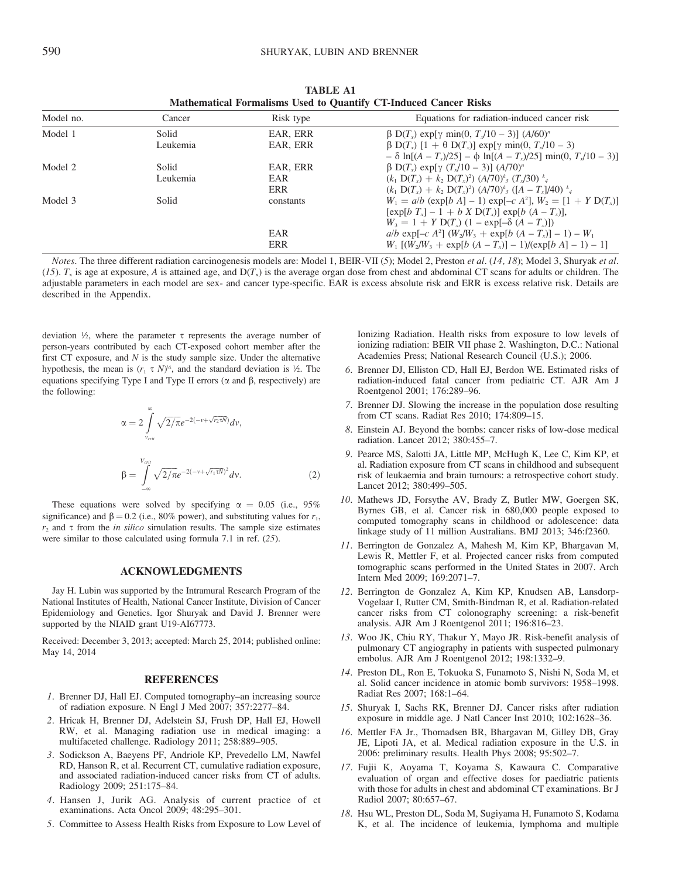| <b>THEMPHEMICAL I OF HIGHBINS CSUG TO QUALITITY OF HIGHCOI CALLUI IMSINS</b> |                   |                      |                                                                                                                                                         |  |
|------------------------------------------------------------------------------|-------------------|----------------------|---------------------------------------------------------------------------------------------------------------------------------------------------------|--|
| Model no.                                                                    | Cancer            | Risk type            | Equations for radiation-induced cancer risk                                                                                                             |  |
| Model 1                                                                      | Solid<br>Leukemia | EAR, ERR<br>EAR, ERR | $β D(Tx) exp[γ min(0, Ty/10 – 3)] (A/60)n$<br>$\beta$ D(T <sub>x</sub> ) $[1 + \theta$ D(T <sub>x</sub> )] exp[ $\gamma$ min(0, T <sub>x</sub> /10 – 3) |  |
|                                                                              |                   |                      | $-\delta \ln[(A-T_x)/25] - \phi \ln[(A-T_x)/25] \min(0, T_x/10 - 3)]$                                                                                   |  |
| Model 2                                                                      | Solid             | EAR, ERR             | $β D(Tx) exp[γ (Ty/10 – 3)] (A/70)n$                                                                                                                    |  |
|                                                                              | Leukemia          | EAR                  | $(k_1 D(T_x) + k_2 D(T_x)^2) (A/70)^k$ ; $(T_x/30)^k$                                                                                                   |  |
|                                                                              |                   | ERR                  | $(k_1 D(T_r) + k_2 D(T_r)^2) (A/70)^k$ ; $([A - T_r]/40)^k$                                                                                             |  |
| Model 3                                                                      | Solid             | constants            | $W_1 = a/b$ (exp[b A] – 1) exp[–c A <sup>2</sup> ], $W_2 = [1 + Y D(T_x)]$                                                                              |  |
|                                                                              |                   |                      | $[\exp[b T_x] - 1 + b X D(T_x)] \exp[b (A - T_x)],$                                                                                                     |  |
|                                                                              |                   |                      | $W_3 = 1 + Y D(T_x) (1 - \exp[-\delta (A - T_x)])$                                                                                                      |  |
|                                                                              |                   | EAR                  | a/b exp[-c A <sup>2</sup> ] $(W_2/W_3 + \exp[b(A-T_x)] - 1) - W_1$                                                                                      |  |
|                                                                              |                   | ERR                  | $W_1$ $[(W_2/W_3 + \exp[b(A-T_1)] - 1)/(\exp[b(A]-1) - 1]$                                                                                              |  |

TABLE A1 Mathematical Formalisms Used to Quantify CT-Induced Cancer Risks

Notes. The three different radiation carcinogenesis models are: Model 1, BEIR-VII (5); Model 2, Preston et al. (14, 18); Model 3, Shuryak et al. (15).  $T<sub>x</sub>$  is age at exposure, A is attained age, and  $D(T<sub>x</sub>)$  is the average organ dose from chest and abdominal CT scans for adults or children. The adjustable parameters in each model are sex- and cancer type-specific. EAR is excess absolute risk and ERR is excess relative risk. Details are described in the Appendix.

deviation  $\frac{1}{2}$ , where the parameter  $\tau$  represents the average number of person-years contributed by each CT-exposed cohort member after the first CT exposure, and  $N$  is the study sample size. Under the alternative hypothesis, the mean is  $(r_1 \tau N)^{1/2}$ , and the standard deviation is  $\frac{1}{2}$ . The equations specifying Type I and Type II errors ( $\alpha$  and  $\beta$ , respectively) are the following:

$$
\alpha = 2 \int_{v_{crit}}^{\infty} \sqrt{2/\pi} e^{-2(-v+\sqrt{r_2 \tau N})} dv,
$$
  

$$
\beta = \int_{-\infty}^{V_{crit}} \sqrt{2/\pi} e^{-2(-v+\sqrt{r_1 \tau N})^2} dv.
$$
 (2)

These equations were solved by specifying  $\alpha = 0.05$  (i.e., 95%) significance) and  $\beta = 0.2$  (i.e., 80% power), and substituting values for  $r_1$ ,  $r<sub>2</sub>$  and  $\tau$  from the *in silico* simulation results. The sample size estimates were similar to those calculated using formula 7.1 in ref. (25).

#### ACKNOWLEDGMENTS

Jay H. Lubin was supported by the Intramural Research Program of the National Institutes of Health, National Cancer Institute, Division of Cancer Epidemiology and Genetics. Igor Shuryak and David J. Brenner were supported by the NIAID grant U19-AI67773.

Received: December 3, 2013; accepted: March 25, 2014; published online: May 14, 2014

#### **REFERENCES**

- 1. Brenner DJ, Hall EJ. Computed tomography–an increasing source of radiation exposure. N Engl J Med 2007; 357:2277–84.
- 2. Hricak H, Brenner DJ, Adelstein SJ, Frush DP, Hall EJ, Howell RW, et al. Managing radiation use in medical imaging: a multifaceted challenge. Radiology 2011; 258:889–905.
- 3. Sodickson A, Baeyens PF, Andriole KP, Prevedello LM, Nawfel RD, Hanson R, et al. Recurrent CT, cumulative radiation exposure, and associated radiation-induced cancer risks from CT of adults. Radiology 2009; 251:175–84.
- 4. Hansen J, Jurik AG. Analysis of current practice of ct examinations. Acta Oncol 2009; 48:295–301.
- 5. Committee to Assess Health Risks from Exposure to Low Level of

Ionizing Radiation. Health risks from exposure to low levels of ionizing radiation: BEIR VII phase 2. Washington, D.C.: National Academies Press; National Research Council (U.S.); 2006.

- 6. Brenner DJ, Elliston CD, Hall EJ, Berdon WE. Estimated risks of radiation-induced fatal cancer from pediatric CT. AJR Am J Roentgenol 2001; 176:289–96.
- 7. Brenner DJ. Slowing the increase in the population dose resulting from CT scans. Radiat Res 2010; 174:809–15.
- 8. Einstein AJ. Beyond the bombs: cancer risks of low-dose medical radiation. Lancet 2012; 380:455–7.
- 9. Pearce MS, Salotti JA, Little MP, McHugh K, Lee C, Kim KP, et al. Radiation exposure from CT scans in childhood and subsequent risk of leukaemia and brain tumours: a retrospective cohort study. Lancet 2012; 380:499–505.
- 10. Mathews JD, Forsythe AV, Brady Z, Butler MW, Goergen SK, Byrnes GB, et al. Cancer risk in 680,000 people exposed to computed tomography scans in childhood or adolescence: data linkage study of 11 million Australians. BMJ 2013; 346:f2360.
- 11. Berrington de Gonzalez A, Mahesh M, Kim KP, Bhargavan M, Lewis R, Mettler F, et al. Projected cancer risks from computed tomographic scans performed in the United States in 2007. Arch Intern Med 2009; 169:2071–7.
- 12. Berrington de Gonzalez A, Kim KP, Knudsen AB, Lansdorp-Vogelaar I, Rutter CM, Smith-Bindman R, et al. Radiation-related cancer risks from CT colonography screening: a risk-benefit analysis. AJR Am J Roentgenol 2011; 196:816–23.
- 13. Woo JK, Chiu RY, Thakur Y, Mayo JR. Risk-benefit analysis of pulmonary CT angiography in patients with suspected pulmonary embolus. AJR Am J Roentgenol 2012; 198:1332–9.
- 14. Preston DL, Ron E, Tokuoka S, Funamoto S, Nishi N, Soda M, et al. Solid cancer incidence in atomic bomb survivors: 1958–1998. Radiat Res 2007; 168:1–64.
- 15. Shuryak I, Sachs RK, Brenner DJ. Cancer risks after radiation exposure in middle age. J Natl Cancer Inst 2010; 102:1628–36.
- 16. Mettler FA Jr., Thomadsen BR, Bhargavan M, Gilley DB, Gray JE, Lipoti JA, et al. Medical radiation exposure in the U.S. in 2006: preliminary results. Health Phys 2008; 95:502–7.
- 17. Fujii K, Aoyama T, Koyama S, Kawaura C. Comparative evaluation of organ and effective doses for paediatric patients with those for adults in chest and abdominal CT examinations. Br J Radiol 2007; 80:657–67.
- 18. Hsu WL, Preston DL, Soda M, Sugiyama H, Funamoto S, Kodama K, et al. The incidence of leukemia, lymphoma and multiple